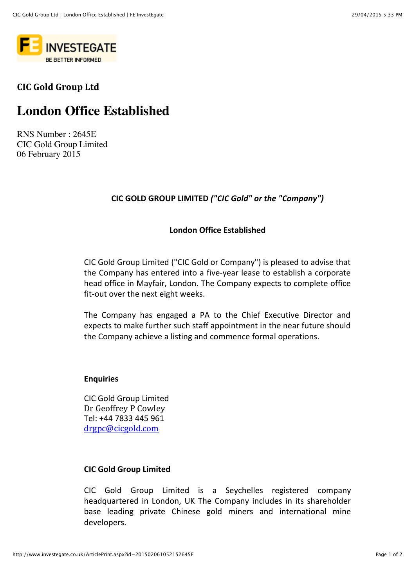

## **CIC Gold Group Ltd**

# **London Office Established**

RNS Number : 2645E CIC Gold Group Limited 06 February 2015

### **CIC GOLD GROUP LIMITED ("CIC Gold" or the "Company")**

#### **London Office Established**

CIC Gold Group Limited ("CIC Gold or Company") is pleased to advise that the Company has entered into a five-year lease to establish a corporate head office in Mayfair, London. The Company expects to complete office fit-out over the next eight weeks.

The Company has engaged a PA to the Chief Executive Director and expects to make further such staff appointment in the near future should the Company achieve a listing and commence formal operations.

#### **Enquiries**

CIC Gold Group Limited Dr Geoffrey P Cowley Tel: +44 7833 445 961 drgpc@cicgold.com

#### **CIC Gold Group Limited**

CIC Gold Group Limited is a Seychelles registered company headquartered in London, UK The Company includes in its shareholder base leading private Chinese gold miners and international mine developers.